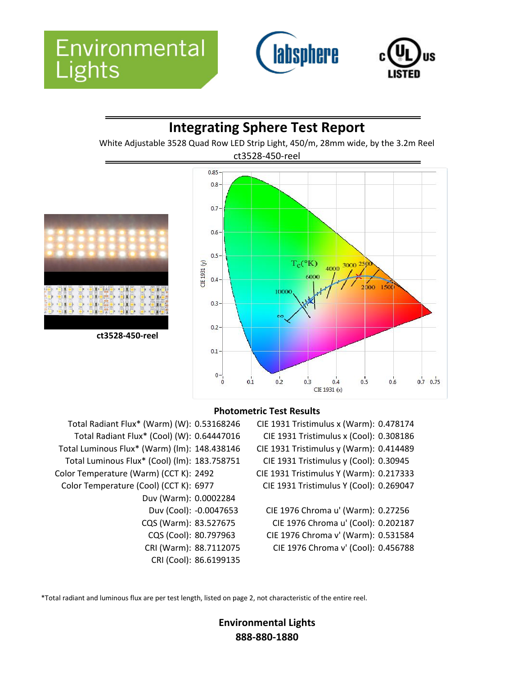



# **Integrating Sphere Test Report**

White Adjustable 3528 Quad Row LED Strip Light, 450/m, 28mm wide, by the 3.2m Reel



### **Photometric Test Results**

- Total Radiant Flux\* (Warm) (W): 0.53168246 CIE 1931 Tristimulus x (Warm): 0.478174 Total Radiant Flux\* (Cool) (W): 0.64447016 CIE 1931 Tristimulus x (Cool): 0.308186 Total Luminous Flux\* (Warm) (lm): 148.438146 CIE 1931 Tristimulus y (Warm): 0.414489 Total Luminous Flux\* (Cool) (lm): 183.758751 CIE 1931 Tristimulus y (Cool): 0.30945 Color Temperature (Warm) (CCT K): 2492 CIE 1931 Tristimulus Y (Warm): 0.217333 Color Temperature (Cool) (CCT K): 6977 CIE 1931 Tristimulus Y (Cool): 0.269047 Duv (Warm): 0.0002284
	-
	-
	-
	-
	-
	- Duv (Cool): -0.0047653 CIE 1976 Chroma u' (Warm): 0.27256 CQS (Warm): 83.527675 CIE 1976 Chroma u' (Cool): 0.202187 CQS (Cool): 80.797963 CIE 1976 Chroma v' (Warm): 0.531584 CRI (Warm): 88.7112075 CIE 1976 Chroma v' (Cool): 0.456788

\*Total radiant and luminous flux are per test length, listed on page 2, not characteristic of the entire reel.

CRI (Cool): 86.6199135

### **Environmental Lights 888-880-1880**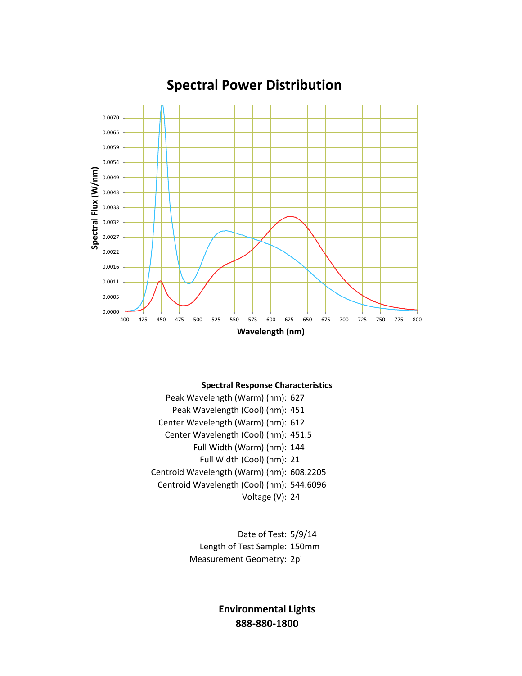

## **Spectral Power Distribution**

#### **Spectral Response Characteristics**

Peak Wavelength (Warm) (nm): 627 Peak Wavelength (Cool) (nm): 451 Center Wavelength (Warm) (nm): 612 Center Wavelength (Cool) (nm): 451.5 Full Width (Warm) (nm): 144 Full Width (Cool) (nm): 21 Centroid Wavelength (Warm) (nm): 608.2205 Centroid Wavelength (Cool) (nm): 544.6096 Voltage (V): 24

> Date of Test: 5/9/14 Length of Test Sample: 150mm Measurement Geometry: 2pi

> > **Environmental Lights 888-880-1800**